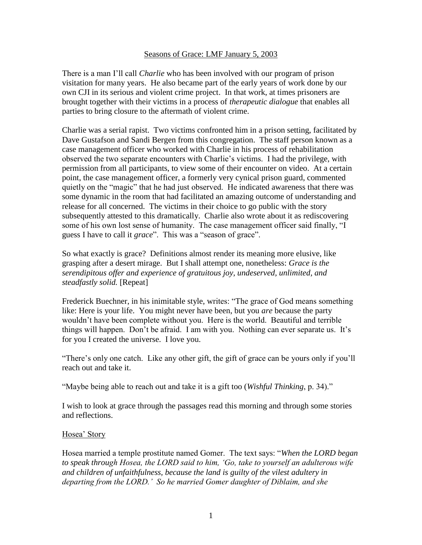#### Seasons of Grace: LMF January 5, 2003

There is a man I'll call *Charlie* who has been involved with our program of prison visitation for many years. He also became part of the early years of work done by our own CJI in its serious and violent crime project. In that work, at times prisoners are brought together with their victims in a process of *therapeutic dialogue* that enables all parties to bring closure to the aftermath of violent crime.

Charlie was a serial rapist. Two victims confronted him in a prison setting, facilitated by Dave Gustafson and Sandi Bergen from this congregation. The staff person known as a case management officer who worked with Charlie in his process of rehabilitation observed the two separate encounters with Charlie's victims. I had the privilege, with permission from all participants, to view some of their encounter on video. At a certain point, the case management officer, a formerly very cynical prison guard, commented quietly on the "magic" that he had just observed. He indicated awareness that there was some dynamic in the room that had facilitated an amazing outcome of understanding and release for all concerned. The victims in their choice to go public with the story subsequently attested to this dramatically. Charlie also wrote about it as rediscovering some of his own lost sense of humanity. The case management officer said finally, "I guess I have to call it *grace*". This was a "season of grace".

So what exactly is grace? Definitions almost render its meaning more elusive, like grasping after a desert mirage. But I shall attempt one, nonetheless: *Grace is the serendipitous offer and experience of gratuitous joy, undeserved, unlimited, and steadfastly solid.* [Repeat]

Frederick Buechner, in his inimitable style, writes: "The grace of God means something like: Here is your life. You might never have been, but you *are* because the party wouldn't have been complete without you. Here is the world. Beautiful and terrible things will happen. Don't be afraid. I am with you. Nothing can ever separate us. It's for you I created the universe. I love you.

"There's only one catch. Like any other gift, the gift of grace can be yours only if you'll reach out and take it.

"Maybe being able to reach out and take it is a gift too (*Wishful Thinking*, p. 34)."

I wish to look at grace through the passages read this morning and through some stories and reflections.

#### Hosea' Story

Hosea married a temple prostitute named Gomer. The text says: "*When the LORD began to speak through Hosea, the LORD said to him, 'Go, take to yourself an adulterous wife and children of unfaithfulness, because the land is guilty of the vilest adultery in departing from the LORD.' So he married Gomer daughter of Diblaim, and she*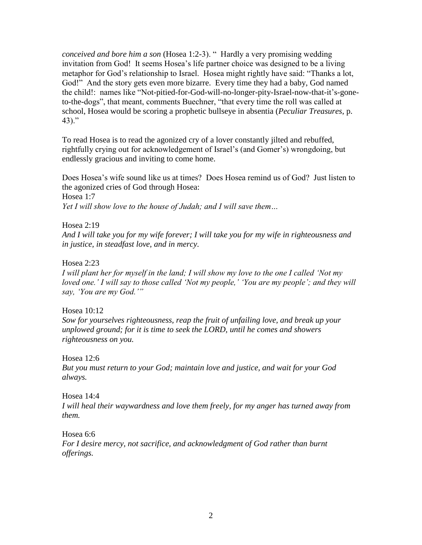*conceived and bore him a son* (Hosea 1:2-3). " Hardly a very promising wedding invitation from God! It seems Hosea's life partner choice was designed to be a living metaphor for God's relationship to Israel. Hosea might rightly have said: "Thanks a lot, God!" And the story gets even more bizarre. Every time they had a baby, God named the child!: names like "Not-pitied-for-God-will-no-longer-pity-Israel-now-that-it's-goneto-the-dogs", that meant, comments Buechner, "that every time the roll was called at school, Hosea would be scoring a prophetic bullseye in absentia (*Peculiar Treasures*, p. 43)."

To read Hosea is to read the agonized cry of a lover constantly jilted and rebuffed, rightfully crying out for acknowledgement of Israel's (and Gomer's) wrongdoing, but endlessly gracious and inviting to come home.

Does Hosea's wife sound like us at times? Does Hosea remind us of God? Just listen to the agonized cries of God through Hosea: Hosea 1:7 *Yet I will show love to the house of Judah; and I will save them…*

Hosea 2:19

*And I will take you for my wife forever; I will take you for my wife in righteousness and in justice, in steadfast love, and in mercy.*

Hosea 2:23

*I will plant her for myself in the land; I will show my love to the one I called 'Not my loved one.' I will say to those called 'Not my people,' 'You are my people'; and they will say, 'You are my God.'"*

Hosea 10:12

*Sow for yourselves righteousness, reap the fruit of unfailing love, and break up your unplowed ground; for it is time to seek the LORD, until he comes and showers righteousness on you.*

Hosea 12:6

*But you must return to your God; maintain love and justice, and wait for your God always.*

Hosea 14:4

*I will heal their waywardness and love them freely, for my anger has turned away from them.*

Hosea 6:6

*For I desire mercy, not sacrifice, and acknowledgment of God rather than burnt offerings.*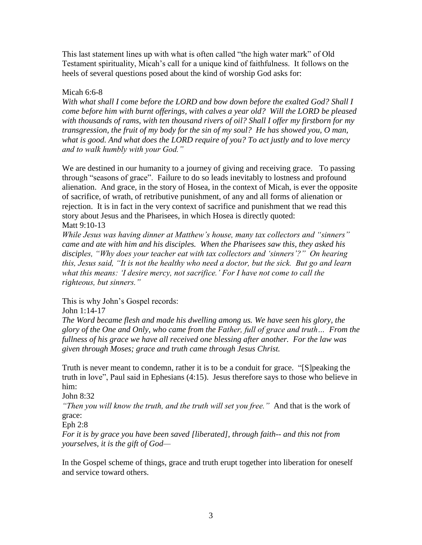This last statement lines up with what is often called "the high water mark" of Old Testament spirituality, Micah's call for a unique kind of faithfulness. It follows on the heels of several questions posed about the kind of worship God asks for:

## Micah 6:6-8

*With what shall I come before the LORD and bow down before the exalted God? Shall I come before him with burnt offerings, with calves a year old? Will the LORD be pleased*  with thousands of rams, with ten thousand rivers of oil? Shall I offer my firstborn for my *transgression, the fruit of my body for the sin of my soul? He has showed you, O man, what is good. And what does the LORD require of you? To act justly and to love mercy and to walk humbly with your God."*

We are destined in our humanity to a journey of giving and receiving grace. To passing through "seasons of grace". Failure to do so leads inevitably to lostness and profound alienation. And grace, in the story of Hosea, in the context of Micah, is ever the opposite of sacrifice, of wrath, of retributive punishment, of any and all forms of alienation or rejection. It is in fact in the very context of sacrifice and punishment that we read this story about Jesus and the Pharisees, in which Hosea is directly quoted: Matt 9:10-13

*While Jesus was having dinner at Matthew's house, many tax collectors and "sinners" came and ate with him and his disciples. When the Pharisees saw this, they asked his disciples, "Why does your teacher eat with tax collectors and 'sinners'?" On hearing this, Jesus said, "It is not the healthy who need a doctor, but the sick. But go and learn what this means: 'I desire mercy, not sacrifice.' For I have not come to call the righteous, but sinners."*

This is why John's Gospel records:

John 1:14-17

*The Word became flesh and made his dwelling among us. We have seen his glory, the glory of the One and Only, who came from the Father, full of grace and truth… From the fullness of his grace we have all received one blessing after another. For the law was given through Moses; grace and truth came through Jesus Christ.* 

Truth is never meant to condemn, rather it is to be a conduit for grace. "[S]peaking the truth in love", Paul said in Ephesians (4:15). Jesus therefore says to those who believe in him:

John 8:32

*"Then you will know the truth, and the truth will set you free."* And that is the work of grace:

Eph 2:8

*For it is by grace you have been saved [liberated], through faith-- and this not from yourselves, it is the gift of God—*

In the Gospel scheme of things, grace and truth erupt together into liberation for oneself and service toward others.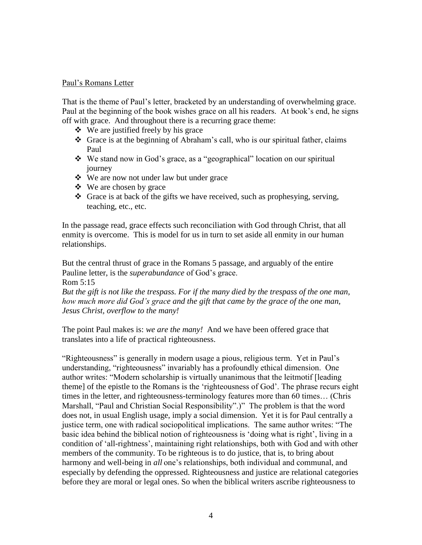### Paul's Romans Letter

That is the theme of Paul's letter, bracketed by an understanding of overwhelming grace. Paul at the beginning of the book wishes grace on all his readers. At book's end, he signs off with grace. And throughout there is a recurring grace theme:

- $\div$  We are justified freely by his grace
- Grace is at the beginning of Abraham's call, who is our spiritual father, claims Paul
- We stand now in God's grace, as a "geographical" location on our spiritual journey
- We are now not under law but under grace
- We are chosen by grace
- $\triangleleft$  Grace is at back of the gifts we have received, such as prophesying, serving, teaching, etc., etc.

In the passage read, grace effects such reconciliation with God through Christ, that all enmity is overcome. This is model for us in turn to set aside all enmity in our human relationships.

But the central thrust of grace in the Romans 5 passage, and arguably of the entire Pauline letter, is the *superabundance* of God's grace.

Rom 5:15

*But the gift is not like the trespass. For if the many died by the trespass of the one man, how much more did God's grace and the gift that came by the grace of the one man, Jesus Christ, overflow to the many!*

The point Paul makes is: *we are the many!* And we have been offered grace that translates into a life of practical righteousness.

"Righteousness" is generally in modern usage a pious, religious term. Yet in Paul's understanding, "righteousness" invariably has a profoundly ethical dimension. One author writes: "Modern scholarship is virtually unanimous that the leitmotif [leading theme] of the epistle to the Romans is the 'righteousness of God'. The phrase recurs eight times in the letter, and righteousness-terminology features more than 60 times… (Chris Marshall, "Paul and Christian Social Responsibility".)" The problem is that the word does not, in usual English usage, imply a social dimension. Yet it is for Paul centrally a justice term, one with radical sociopolitical implications. The same author writes: "The basic idea behind the biblical notion of righteousness is 'doing what is right', living in a condition of 'all-rightness', maintaining right relationships, both with God and with other members of the community. To be righteous is to do justice, that is, to bring about harmony and well-being in *all* one's relationships, both individual and communal, and especially by defending the oppressed. Righteousness and justice are relational categories before they are moral or legal ones. So when the biblical writers ascribe righteousness to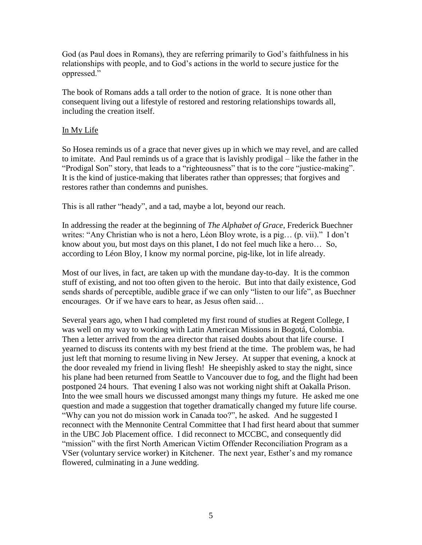God (as Paul does in Romans), they are referring primarily to God's faithfulness in his relationships with people, and to God's actions in the world to secure justice for the oppressed."

The book of Romans adds a tall order to the notion of grace. It is none other than consequent living out a lifestyle of restored and restoring relationships towards all, including the creation itself.

# In My Life

So Hosea reminds us of a grace that never gives up in which we may revel, and are called to imitate. And Paul reminds us of a grace that is lavishly prodigal – like the father in the "Prodigal Son" story, that leads to a "righteousness" that is to the core "justice-making". It is the kind of justice-making that liberates rather than oppresses; that forgives and restores rather than condemns and punishes.

This is all rather "heady", and a tad, maybe a lot, beyond our reach.

In addressing the reader at the beginning of *The Alphabet of Grace*, Frederick Buechner writes: "Any Christian who is not a hero, Léon Bloy wrote, is a pig… (p. vii)." I don't know about you, but most days on this planet, I do not feel much like a hero… So, according to Léon Bloy, I know my normal porcine, pig-like, lot in life already.

Most of our lives, in fact, are taken up with the mundane day-to-day. It is the common stuff of existing, and not too often given to the heroic. But into that daily existence, God sends shards of perceptible, audible grace if we can only "listen to our life", as Buechner encourages. Or if we have ears to hear, as Jesus often said…

Several years ago, when I had completed my first round of studies at Regent College, I was well on my way to working with Latin American Missions in Bogotá, Colombia. Then a letter arrived from the area director that raised doubts about that life course. I yearned to discuss its contents with my best friend at the time. The problem was, he had just left that morning to resume living in New Jersey. At supper that evening, a knock at the door revealed my friend in living flesh! He sheepishly asked to stay the night, since his plane had been returned from Seattle to Vancouver due to fog, and the flight had been postponed 24 hours. That evening I also was not working night shift at Oakalla Prison. Into the wee small hours we discussed amongst many things my future. He asked me one question and made a suggestion that together dramatically changed my future life course. "Why can you not do mission work in Canada too?", he asked. And he suggested I reconnect with the Mennonite Central Committee that I had first heard about that summer in the UBC Job Placement office. I did reconnect to MCCBC, and consequently did "mission" with the first North American Victim Offender Reconciliation Program as a VSer (voluntary service worker) in Kitchener. The next year, Esther's and my romance flowered, culminating in a June wedding.